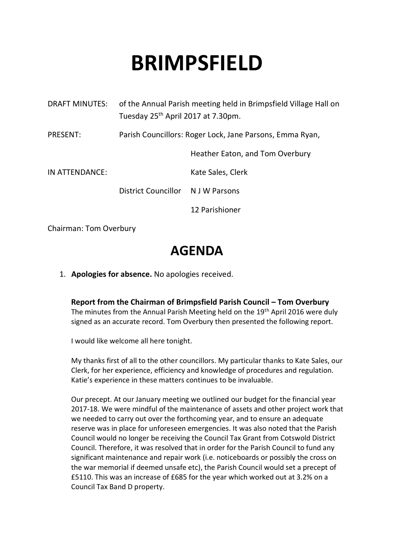# **BRIMPSFIELD**

| <b>DRAFT MINUTES:</b> | of the Annual Parish meeting held in Brimpsfield Village Hall on<br>Tuesday 25 <sup>th</sup> April 2017 at 7.30pm. |                                 |
|-----------------------|--------------------------------------------------------------------------------------------------------------------|---------------------------------|
| <b>PRESENT:</b>       | Parish Councillors: Roger Lock, Jane Parsons, Emma Ryan,                                                           |                                 |
|                       |                                                                                                                    | Heather Eaton, and Tom Overbury |
| IN ATTENDANCE:        |                                                                                                                    | Kate Sales, Clerk               |
|                       | District Councillor N J W Parsons                                                                                  |                                 |
|                       |                                                                                                                    | 12 Parishioner                  |
|                       |                                                                                                                    |                                 |

Chairman: Tom Overbury

# **AGENDA**

1. **Apologies for absence.** No apologies received.

**Report from the Chairman of Brimpsfield Parish Council – Tom Overbury** The minutes from the Annual Parish Meeting held on the 19<sup>th</sup> April 2016 were duly signed as an accurate record. Tom Overbury then presented the following report.

I would like welcome all here tonight.

My thanks first of all to the other councillors. My particular thanks to Kate Sales, our Clerk, for her experience, efficiency and knowledge of procedures and regulation. Katie's experience in these matters continues to be invaluable.

Our precept. At our January meeting we outlined our budget for the financial year 2017-18. We were mindful of the maintenance of assets and other project work that we needed to carry out over the forthcoming year, and to ensure an adequate reserve was in place for unforeseen emergencies. It was also noted that the Parish Council would no longer be receiving the Council Tax Grant from Cotswold District Council. Therefore, it was resolved that in order for the Parish Council to fund any significant maintenance and repair work (i.e. noticeboards or possibly the cross on the war memorial if deemed unsafe etc), the Parish Council would set a precept of £5110. This was an increase of £685 for the year which worked out at 3.2% on a Council Tax Band D property.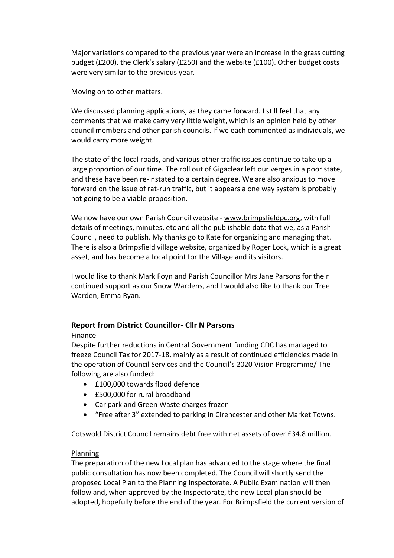Major variations compared to the previous year were an increase in the grass cutting budget (£200), the Clerk's salary (£250) and the website (£100). Other budget costs were very similar to the previous year.

Moving on to other matters.

We discussed planning applications, as they came forward. I still feel that any comments that we make carry very little weight, which is an opinion held by other council members and other parish councils. If we each commented as individuals, we would carry more weight.

The state of the local roads, and various other traffic issues continue to take up a large proportion of our time. The roll out of Gigaclear left our verges in a poor state, and these have been re-instated to a certain degree. We are also anxious to move forward on the issue of rat-run traffic, but it appears a one way system is probably not going to be a viable proposition.

We now have our own Parish Council website - www.brimpsfieldpc.org, with full details of meetings, minutes, etc and all the publishable data that we, as a Parish Council, need to publish. My thanks go to Kate for organizing and managing that. There is also a Brimpsfield village website, organized by Roger Lock, which is a great asset, and has become a focal point for the Village and its visitors.

I would like to thank Mark Foyn and Parish Councillor Mrs Jane Parsons for their continued support as our Snow Wardens, and I would also like to thank our Tree Warden, Emma Ryan.

# **Report from District Councillor- Cllr N Parsons**

# Finance

Despite further reductions in Central Government funding CDC has managed to freeze Council Tax for 2017-18, mainly as a result of continued efficiencies made in the operation of Council Services and the Council's 2020 Vision Programme/ The following are also funded:

- £100,000 towards flood defence
- £500,000 for rural broadband
- Car park and Green Waste charges frozen
- "Free after 3" extended to parking in Cirencester and other Market Towns.

Cotswold District Council remains debt free with net assets of over £34.8 million.

#### Planning

The preparation of the new Local plan has advanced to the stage where the final public consultation has now been completed. The Council will shortly send the proposed Local Plan to the Planning Inspectorate. A Public Examination will then follow and, when approved by the Inspectorate, the new Local plan should be adopted, hopefully before the end of the year. For Brimpsfield the current version of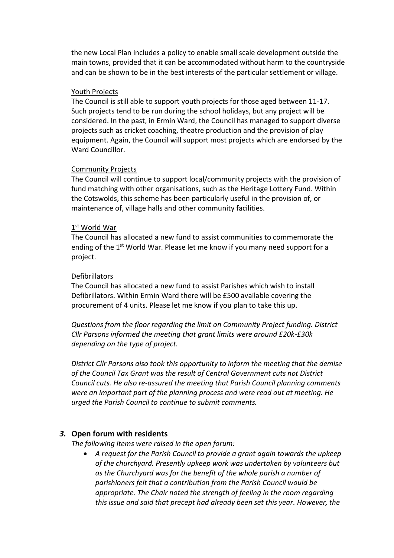the new Local Plan includes a policy to enable small scale development outside the main towns, provided that it can be accommodated without harm to the countryside and can be shown to be in the best interests of the particular settlement or village.

#### Youth Projects

The Council is still able to support youth projects for those aged between 11-17. Such projects tend to be run during the school holidays, but any project will be considered. In the past, in Ermin Ward, the Council has managed to support diverse projects such as cricket coaching, theatre production and the provision of play equipment. Again, the Council will support most projects which are endorsed by the Ward Councillor.

#### Community Projects

The Council will continue to support local/community projects with the provision of fund matching with other organisations, such as the Heritage Lottery Fund. Within the Cotswolds, this scheme has been particularly useful in the provision of, or maintenance of, village halls and other community facilities.

### $1^{\text{st}}$  World War

The Council has allocated a new fund to assist communities to commemorate the ending of the 1<sup>st</sup> World War. Please let me know if you many need support for a project.

#### Defibrillators

The Council has allocated a new fund to assist Parishes which wish to install Defibrillators. Within Ermin Ward there will be £500 available covering the procurement of 4 units. Please let me know if you plan to take this up.

*Questions from the floor regarding the limit on Community Project funding. District Cllr Parsons informed the meeting that grant limits were around £20k-£30k depending on the type of project.*

*District Cllr Parsons also took this opportunity to inform the meeting that the demise of the Council Tax Grant was the result of Central Government cuts not District Council cuts. He also re-assured the meeting that Parish Council planning comments were an important part of the planning process and were read out at meeting. He urged the Parish Council to continue to submit comments.*

#### *3.* **Open forum with residents**

*The following items were raised in the open forum:*

• *A request for the Parish Council to provide a grant again towards the upkeep of the churchyard. Presently upkeep work was undertaken by volunteers but as the Churchyard was for the benefit of the whole parish a number of parishioners felt that a contribution from the Parish Council would be appropriate. The Chair noted the strength of feeling in the room regarding this issue and said that precept had already been set this year. However, the*